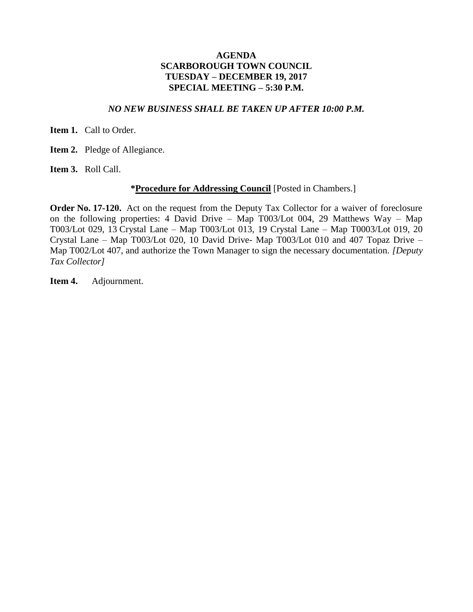## **AGENDA SCARBOROUGH TOWN COUNCIL TUESDAY – DECEMBER 19, 2017 SPECIAL MEETING – 5:30 P.M.**

## *NO NEW BUSINESS SHALL BE TAKEN UP AFTER 10:00 P.M.*

**Item 1.** Call to Order.

**Item 2.** Pledge of Allegiance.

**Item 3.** Roll Call.

## **\*Procedure for Addressing Council** [Posted in Chambers.]

**Order No. 17-120.** Act on the request from the Deputy Tax Collector for a waiver of foreclosure on the following properties: 4 David Drive – Map T003/Lot 004, 29 Matthews Way – Map T003/Lot 029, 13 Crystal Lane – Map T003/Lot 013, 19 Crystal Lane – Map T0003/Lot 019, 20 Crystal Lane – Map T003/Lot 020, 10 David Drive- Map T003/Lot 010 and 407 Topaz Drive – Map T002/Lot 407, and authorize the Town Manager to sign the necessary documentation. *[Deputy Tax Collector]* 

**Item 4.** Adjournment.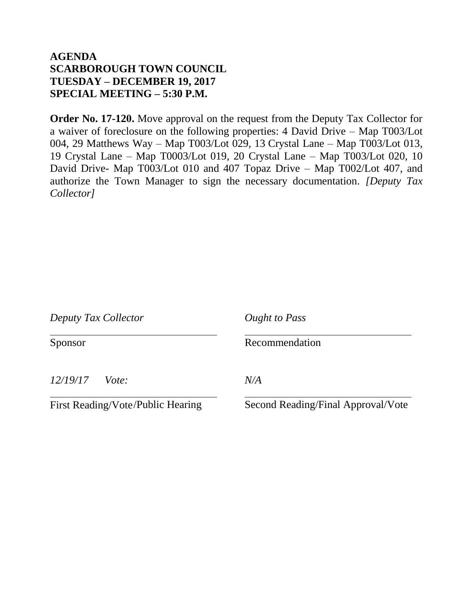## **AGENDA SCARBOROUGH TOWN COUNCIL TUESDAY – DECEMBER 19, 2017 SPECIAL MEETING – 5:30 P.M.**

**Order No. 17-120.** Move approval on the request from the Deputy Tax Collector for a waiver of foreclosure on the following properties: 4 David Drive – Map T003/Lot 004, 29 Matthews Way – Map T003/Lot 029, 13 Crystal Lane – Map T003/Lot 013, 19 Crystal Lane – Map T0003/Lot 019, 20 Crystal Lane – Map T003/Lot 020, 10 David Drive- Map T003/Lot 010 and 407 Topaz Drive – Map T002/Lot 407, and authorize the Town Manager to sign the necessary documentation. *[Deputy Tax Collector]* 

| Deputy Tax Collector |       | <b>Ought to Pass</b> |  |
|----------------------|-------|----------------------|--|
| Sponsor              |       | Recommendation       |  |
| 12/19/17             | Vote: | N/A                  |  |

First Reading/Vote

Second Reading/Final Approval/Vote